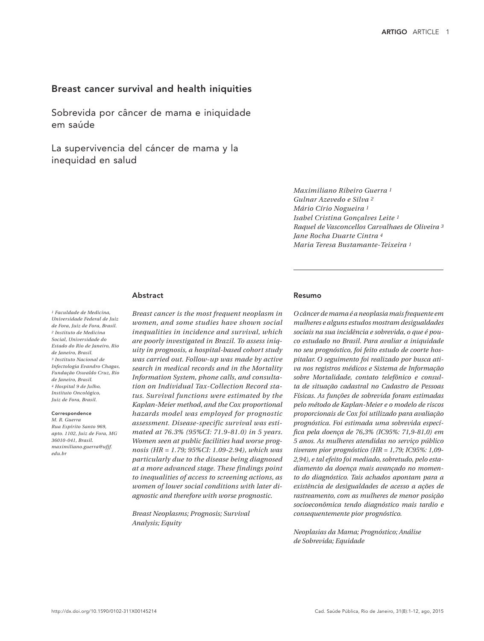# Breast cancer survival and health iniquities

Sobrevida por câncer de mama e iniquidade em saúde

La supervivencia del cáncer de mama y la inequidad en salud

> *Maximiliano Ribeiro Guerra 1 Gulnar Azevedo e Silva 2 Mário Círio Nogueira 1 Isabel Cristina Gonçalves Leite 1 Raquel de Vasconcellos Carvalhaes de Oliveira 3 Jane Rocha Duarte Cintra 4 Maria Teresa Bustamante-Teixeira 1*

# Abstract

*1 Faculdade de Medicina, Universidade Federal de Juiz de Fora, Juiz de Fora, Brasil. 2 Instituto de Medicina Social, Universidade do Estado do Rio de Janeiro, Rio de Janeiro, Brasil. 3 Instituto Nacional de Infectologia Evandro Chagas, Fundação Oswaldo Cruz, Rio de Janeiro, Brasil. 4 Hospital 9 de Julho, Instituto Oncológico, Juiz de Fora, Brasil.*

#### **Correspondence** *M. R. Guerra*

*Rua Espírito Santo 969, apto. 1102, Juiz de Fora, MG 36010-041, Brasil. maximiliano.guerra@ufjf. edu.br*

*Breast cancer is the most frequent neoplasm in women, and some studies have shown social inequalities in incidence and survival, which are poorly investigated in Brazil. To assess iniquity in prognosis, a hospital-based cohort study was carried out. Follow-up was made by active search in medical records and in the Mortality Information System, phone calls, and consultation on Individual Tax-Collection Record status. Survival functions were estimated by the Kaplan-Meier method, and the Cox proportional hazards model was employed for prognostic assessment. Disease-specific survival was estimated at 76.3% (95%CI: 71.9-81.0) in 5 years. Women seen at public facilities had worse prognosis (HR = 1.79; 95%CI: 1.09-2.94), which was particularly due to the disease being diagnosed at a more advanced stage. These findings point to inequalities of access to screening actions, as women of lower social conditions with later diagnostic and therefore with worse prognostic.*

*Breast Neoplasms; Prognosis; Survival Analysis; Equity*

#### Resumo

*O câncer de mama é a neoplasia mais frequente em mulheres e alguns estudos mostram desigualdades sociais na sua incidência e sobrevida, o que é pouco estudado no Brasil. Para avaliar a iniquidade no seu prognóstico, foi feito estudo de coorte hospitalar. O seguimento foi realizado por busca ativa nos registros médicos e Sistema de Informação sobre Mortalidade, contato telefônico e consulta de situação cadastral no Cadastro de Pessoas Físicas. As funções de sobrevida foram estimadas pelo método de Kaplan-Meier e o modelo de riscos proporcionais de Cox foi utilizado para avaliação prognóstica. Foi estimada uma sobrevida específica pela doença de 76,3% (IC95%: 71,9-81,0) em 5 anos. As mulheres atendidas no serviço público tiveram pior prognóstico (HR = 1,79; IC95%: 1,09- 2,94), e tal efeito foi mediado, sobretudo, pelo estadiamento da doença mais avançado no momento do diagnóstico. Tais achados apontam para a existência de desigualdades de acesso a ações de rastreamento, com as mulheres de menor posição socioeconômica tendo diagnóstico mais tardio e consequentemente pior prognóstico.*

*Neoplasias da Mama; Prognóstico; Análise de Sobrevida; Equidade*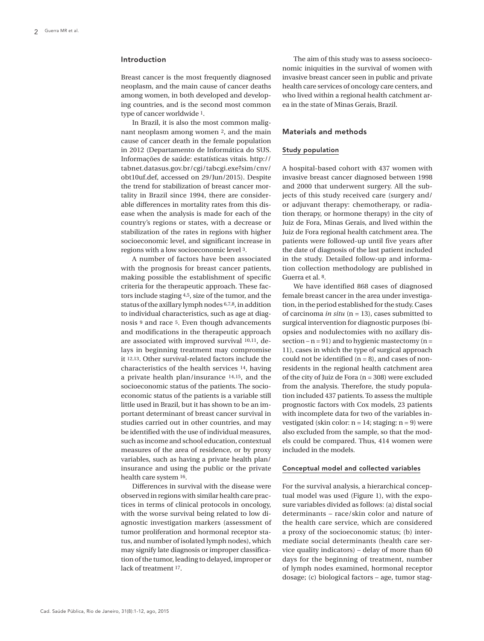#### Introduction

Breast cancer is the most frequently diagnosed neoplasm, and the main cause of cancer deaths among women, in both developed and developing countries, and is the second most common type of cancer worldwide 1.

In Brazil, it is also the most common malignant neoplasm among women 2, and the main cause of cancer death in the female population in 2012 (Departamento de Informática do SUS. Informações de saúde: estatísticas vitais. http:// tabnet.datasus.gov.br/cgi/tabcgi.exe?sim/cnv/ obt10uf.def, accessed on 29/Jun/2015). Despite the trend for stabilization of breast cancer mortality in Brazil since 1994, there are considerable differences in mortality rates from this disease when the analysis is made for each of the country's regions or states, with a decrease or stabilization of the rates in regions with higher socioeconomic level, and significant increase in regions with a low socioeconomic level 3.

A number of factors have been associated with the prognosis for breast cancer patients, making possible the establishment of specific criteria for the therapeutic approach. These factors include staging 4,5, size of the tumor, and the status of the axillary lymph nodes 6,7,8, in addition to individual characteristics, such as age at diagnosis 9 and race 5. Even though advancements and modifications in the therapeutic approach are associated with improved survival 10,11, delays in beginning treatment may compromise it 12,13. Other survival-related factors include the characteristics of the health services 14, having a private health plan/insurance 14,15, and the socioeconomic status of the patients. The socioeconomic status of the patients is a variable still little used in Brazil, but it has shown to be an important determinant of breast cancer survival in studies carried out in other countries, and may be identified with the use of individual measures, such as income and school education, contextual measures of the area of residence, or by proxy variables, such as having a private health plan/ insurance and using the public or the private health care system 16.

Differences in survival with the disease were observed in regions with similar health care practices in terms of clinical protocols in oncology, with the worse survival being related to low diagnostic investigation markers (assessment of tumor proliferation and hormonal receptor status, and number of isolated lymph nodes), which may signify late diagnosis or improper classification of the tumor, leading to delayed, improper or lack of treatment 17.

The aim of this study was to assess socioeconomic iniquities in the survival of women with invasive breast cancer seen in public and private health care services of oncology care centers, and who lived within a regional health catchment area in the state of Minas Gerais, Brazil.

# Materials and methods

## Study population

A hospital-based cohort with 437 women with invasive breast cancer diagnosed between 1998 and 2000 that underwent surgery. All the subjects of this study received care (surgery and/ or adjuvant therapy: chemotherapy, or radiation therapy, or hormone therapy) in the city of Juiz de Fora, Minas Gerais, and lived within the Juiz de Fora regional health catchment area. The patients were followed-up until five years after the date of diagnosis of the last patient included in the study. Detailed follow-up and information collection methodology are published in Guerra et al. 8.

We have identified 868 cases of diagnosed female breast cancer in the area under investigation, in the period established for the study. Cases of carcinoma *in situ* (n = 13), cases submitted to surgical intervention for diagnostic purposes (biopsies and nodulectomies with no axillary dissection –  $n = 91$ ) and to hygienic mastectomy ( $n =$ 11), cases in which the type of surgical approach could not be identified  $(n = 8)$ , and cases of nonresidents in the regional health catchment area of the city of Juiz de Fora (n = 308) were excluded from the analysis. Therefore, the study population included 437 patients. To assess the multiple prognostic factors with Cox models, 23 patients with incomplete data for two of the variables investigated (skin color:  $n = 14$ ; staging:  $n = 9$ ) were also excluded from the sample, so that the models could be compared. Thus, 414 women were included in the models.

## Conceptual model and collected variables

For the survival analysis, a hierarchical conceptual model was used (Figure 1), with the exposure variables divided as follows: (a) distal social determinants – race/skin color and nature of the health care service, which are considered a proxy of the socioeconomic status; (b) intermediate social determinants (health care service quality indicators) – delay of more than 60 days for the beginning of treatment, number of lymph nodes examined, hormonal receptor dosage; (c) biological factors – age, tumor stag-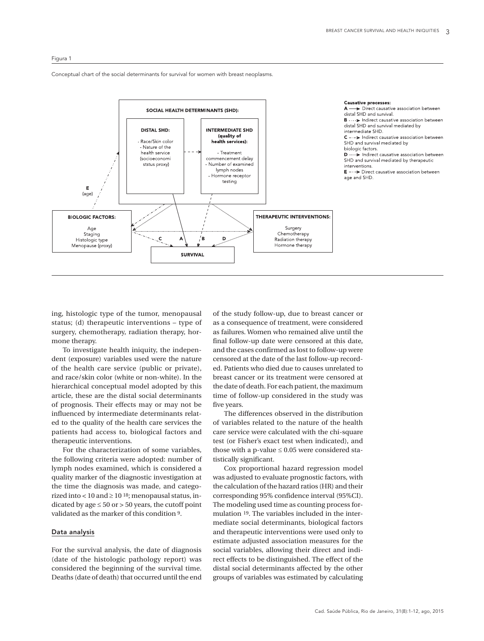#### Figura 1

Conceptual chart of the social determinants for survival for women with breast neoplasms.



ing, histologic type of the tumor, menopausal status; (d) therapeutic interventions – type of surgery, chemotherapy, radiation therapy, hormone therapy.

To investigate health iniquity, the independent (exposure) variables used were the nature of the health care service (public or private), and race/skin color (white or non-white). In the hierarchical conceptual model adopted by this article, these are the distal social determinants of prognosis. Their effects may or may not be influenced by intermediate determinants related to the quality of the health care services the patients had access to, biological factors and therapeutic interventions.

For the characterization of some variables, the following criteria were adopted: number of lymph nodes examined, which is considered a quality marker of the diagnostic investigation at the time the diagnosis was made, and categorized into < 10 and  $\geq$  10 <sup>18</sup>; menopausal status, indicated by age  $\leq 50$  or  $> 50$  years, the cutoff point validated as the marker of this condition 9.

## Data analysis

For the survival analysis, the date of diagnosis (date of the histologic pathology report) was considered the beginning of the survival time. Deaths (date of death) that occurred until the end

of the study follow-up, due to breast cancer or as a consequence of treatment, were considered as failures. Women who remained alive until the final follow-up date were censored at this date, and the cases confirmed as lost to follow-up were censored at the date of the last follow-up recorded. Patients who died due to causes unrelated to breast cancer or its treatment were censored at the date of death. For each patient, the maximum time of follow-up considered in the study was five years.

The differences observed in the distribution of variables related to the nature of the health care service were calculated with the chi-square test (or Fisher's exact test when indicated), and those with a p-value  $\leq 0.05$  were considered statistically significant.

Cox proportional hazard regression model was adjusted to evaluate prognostic factors, with the calculation of the hazard ratios (HR) and their corresponding 95% confidence interval (95%CI). The modeling used time as counting process formulation 19. The variables included in the intermediate social determinants, biological factors and therapeutic interventions were used only to estimate adjusted association measures for the social variables, allowing their direct and indirect effects to be distinguished. The effect of the distal social determinants affected by the other groups of variables was estimated by calculating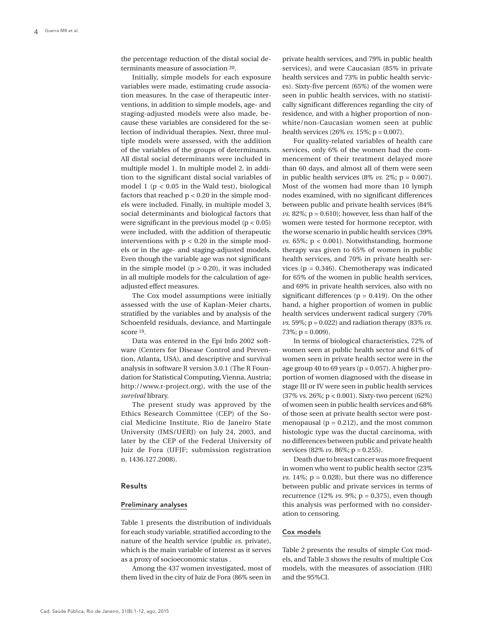the percentage reduction of the distal social determinants measure of association 20.

Initially, simple models for each exposure variables were made, estimating crude association measures. In the case of therapeutic interventions, in addition to simple models, age- and staging-adjusted models were also made, because these variables are considered for the selection of individual therapies. Next, three multiple models were assessed, with the addition of the variables of the groups of determinants. All distal social determinants were included in multiple model 1. In multiple model 2, in addition to the significant distal social variables of model 1 ( $p < 0.05$  in the Wald test), biological factors that reached  $p < 0.20$  in the simple models were included. Finally, in multiple model 3, social determinants and biological factors that were significant in the previous model  $(p < 0.05)$ were included, with the addition of therapeutic interventions with  $p < 0.20$  in the simple models or in the age- and staging-adjusted models. Even though the variable age was not significant in the simple model  $(p > 0.20)$ , it was included in all multiple models for the calculation of ageadjusted effect measures.

The Cox model assumptions were initially assessed with the use of Kaplan-Meier charts, stratified by the variables and by analysis of the Schoenfeld residuals, deviance, and Martingale score 19.

Data was entered in the Epi Info 2002 software (Centers for Disease Control and Prevention, Atlanta, USA), and descriptive and survival analysis in software R version 3.0.1 (The R Foundation for Statistical Computing, Vienna, Austria; http://www.r-project.org), with the use of the *survival* library.

The present study was approved by the Ethics Research Committee (CEP) of the Social Medicine Institute, Rio de Janeiro State University (IMS/UERJ) on July 24, 2003, and later by the CEP of the Federal University of Juiz de Fora (UFJF; submission registration n. 1436.127.2008).

#### Results

#### Preliminary analyses

Table 1 presents the distribution of individuals for each study variable, stratified according to the nature of the health service (public *vs.* private), which is the main variable of interest as it serves as a proxy of socioeconomic status .

Among the 437 women investigated, most of them lived in the city of Juiz de Fora (86% seen in

private health services, and 79% in public health services), and were Caucasian (85% in private health services and 73% in public health services). Sixty-five percent (65%) of the women were seen in public health services, with no statistically significant differences regarding the city of residence, and with a higher proportion of nonwhite/non-Caucasian women seen at public health services  $(26\% \text{ vs. } 15\%; \text{p} = 0.007)$ .

For quality-related variables of health care services, only 6% of the women had the commencement of their treatment delayed more than 60 days, and almost all of them were seen in public health services  $(8\% \text{ vs. } 2\%; \text{ p} = 0.007)$ . Most of the women had more than 10 lymph nodes examined, with no significant differences between public and private health services (84%  $\nu$ s. 82%; p = 0.610); however, less than half of the women were tested for hormone receptor, with the worse scenario in public health services (39%  $vs. 65\%; p < 0.001$ ). Notwithstanding, hormone therapy was given to 65% of women in public health services, and 70% in private health services ( $p = 0.346$ ). Chemotherapy was indicated for 65% of the women in public health services, and 69% in private health services, also with no significant differences ( $p = 0.419$ ). On the other hand, a higher proportion of women in public health services underwent radical surgery (70%  *and radiation therapy (83%*  $*v*s.$  $73\%$ ; p = 0.009).

In terms of biological characteristics, 72% of women seen at public health sector and 61% of women seen in private health sector were in the age group 40 to 69 years ( $p = 0.057$ ). A higher proportion of women diagnosed with the disease in stage III or IV were seen in public health services (37% vs. 26%; p < 0.001). Sixty-two percent (62%) of women seen in public health services and 68% of those seen at private health sector were postmenopausal ( $p = 0.212$ ), and the most common histologic type was the ductal carcinoma, with no differences between public and private health services (82% *vs.* 86%; p = 0.255).

Death due to breast cancer was more frequent in women who went to public health sector (23%  $\nu$ s. 14%;  $p = 0.028$ ), but there was no difference between public and private services in terms of recurrence (12%  $vs. 9\%$ ; p = 0,375), even though this analysis was performed with no consideration to censoring.

#### Cox models

Table 2 presents the results of simple Cox models, and Table 3 shows the results of multiple Cox models, with the measures of association (HR) and the 95%CI.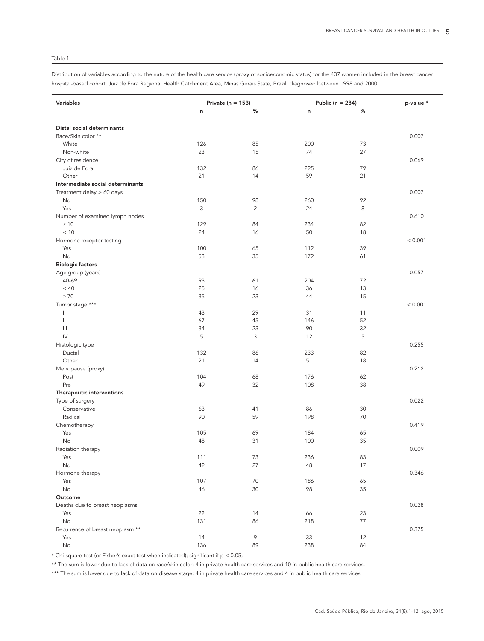## Table 1

Distribution of variables according to the nature of the health care service (proxy of socioeconomic status) for the 437 women included in the breast cancer hospital-based cohort, Juiz de Fora Regional Health Catchment Area, Minas Gerais State, Brazil, diagnosed between 1998 and 2000.

| Variables                                                      | Private ( $n = 153$ ) |                | Public ( $n = 284$ ) |    | p-value * |
|----------------------------------------------------------------|-----------------------|----------------|----------------------|----|-----------|
|                                                                | n                     | %              | n                    | %  |           |
|                                                                |                       |                |                      |    |           |
| Distal social determinants                                     |                       |                |                      |    |           |
| Race/Skin color **                                             |                       |                |                      |    | 0.007     |
| White                                                          | 126                   | 85             | 200                  | 73 |           |
| Non-white                                                      | 23                    | 15             | 74                   | 27 |           |
| City of residence                                              |                       |                |                      |    | 0.069     |
| Juiz de Fora                                                   | 132                   | 86             | 225                  | 79 |           |
| Other                                                          | 21                    | 14             | 59                   | 21 |           |
| Intermediate social determinants                               |                       |                |                      |    |           |
| Treatment delay > 60 days                                      |                       |                |                      |    | 0.007     |
| No                                                             | 150                   | 98             | 260                  | 92 |           |
| Yes                                                            | 3                     | $\overline{2}$ | 24                   | 8  |           |
| Number of examined lymph nodes                                 |                       |                |                      |    | 0.610     |
| $\geq 10$                                                      | 129                   | 84             | 234                  | 82 |           |
| < 10                                                           | 24                    | 16             | 50                   | 18 |           |
| Hormone receptor testing                                       |                       |                |                      |    | < 0.001   |
| Yes                                                            | 100                   | 65             | 112                  | 39 |           |
| No                                                             | 53                    | 35             | 172                  | 61 |           |
| <b>Biologic factors</b>                                        |                       |                |                      |    |           |
| Age group (years)                                              |                       |                |                      |    | 0.057     |
| 40-69                                                          | 93                    | 61             | 204                  | 72 |           |
| < 40                                                           | 25                    | 16             | 36                   | 13 |           |
| $\geq 70$                                                      | 35                    | 23             | 44                   | 15 |           |
| Tumor stage ***                                                |                       |                |                      |    | < 0.001   |
|                                                                | 43                    | 29             | 31                   | 11 |           |
| $\label{eq:1} \prod_{i=1}^n \alpha_i = \prod_{i=1}^n \alpha_i$ | 67                    | 45             | 146                  | 52 |           |
| $\begin{array}{c} \hline \end{array}$                          | 34                    | 23             | 90                   | 32 |           |
| $\mathsf{IV}$                                                  | 5                     | 3              | 12                   | 5  |           |
| Histologic type                                                |                       |                |                      |    | 0.255     |
| Ductal                                                         | 132                   | 86             | 233                  | 82 |           |
| Other                                                          | 21                    | 14             | 51                   | 18 |           |
| Menopause (proxy)                                              |                       |                |                      |    | 0.212     |
| Post                                                           | 104                   | 68             | 176                  | 62 |           |
| Pre                                                            | 49                    | 32             | 108                  | 38 |           |
| Therapeutic interventions                                      |                       |                |                      |    |           |
| Type of surgery                                                |                       |                |                      |    | 0.022     |
| Conservative                                                   | 63                    | 41             | 86                   | 30 |           |
| Radical                                                        | 90                    | 59             | 198                  | 70 |           |
| Chemotherapy                                                   |                       |                |                      |    | 0.419     |
| Yes                                                            | 105                   | 69             | 184                  | 65 |           |
| No                                                             | 48                    | 31             | 100                  | 35 |           |
| Radiation therapy                                              |                       |                |                      |    | 0.009     |
| Yes                                                            | 111                   | 73             | 236                  | 83 |           |
| No                                                             | 42                    | 27             | 48                   | 17 |           |
| Hormone therapy                                                |                       |                |                      |    | 0.346     |
| Yes                                                            | 107                   | 70             | 186                  | 65 |           |
| No                                                             | 46                    | 30             | 98                   | 35 |           |
| Outcome                                                        |                       |                |                      |    |           |
| Deaths due to breast neoplasms                                 |                       |                |                      |    | 0.028     |
| Yes                                                            | 22                    | 14             | 66                   | 23 |           |
| No                                                             | 131                   | 86             | 218                  | 77 |           |
| Recurrence of breast neoplasm **                               |                       |                |                      |    | 0.375     |
| Yes                                                            | 14                    | 9              | 33                   | 12 |           |
| No                                                             | 136                   | 89             | 238                  | 84 |           |

\* Chi-square test (or Fisher's exact test when indicated); significant if  $p < 0.05$ ;

\*\* The sum is lower due to lack of data on race/skin color: 4 in private health care services and 10 in public health care services;

\*\*\* The sum is lower due to lack of data on disease stage: 4 in private health care services and 4 in public health care services.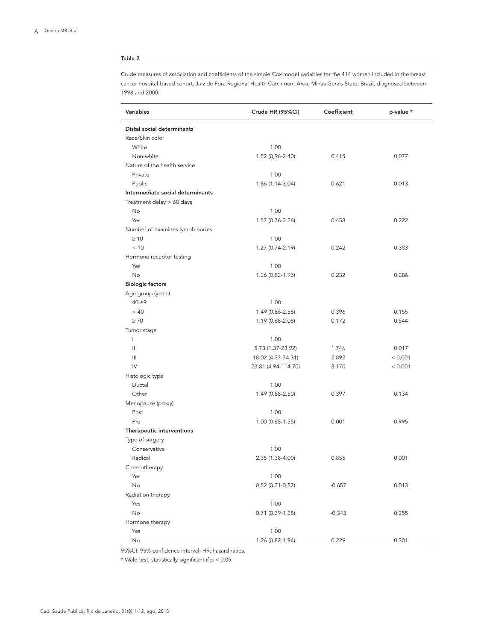## Table 2

Crude measures of association and coefficients of the simple Cox model variables for the 414 women included in the breast cancer hospital-based cohort, Juiz de Fora Regional Health Catchment Area, Minas Gerais State, Brazil, diagnosed between 1998 and 2000.

| Variables                        | Crude HR (95%CI)    | Coefficient | p-value * |
|----------------------------------|---------------------|-------------|-----------|
| Distal social determinants       |                     |             |           |
| Race/Skin color                  |                     |             |           |
| White                            | 1.00                |             |           |
| Non-white                        | 1.52 (0,96-2.40)    | 0.415       | 0.077     |
| Nature of the health service     |                     |             |           |
| Private                          | 1.00                |             |           |
| Public                           | 1.86 (1.14-3.04)    | 0.621       | 0.013     |
| Intermediate social determinants |                     |             |           |
| Treatment delay > 60 days        |                     |             |           |
| No                               | 1.00                |             |           |
| Yes                              | 1.57 (0.76-3.26)    | 0.453       | 0.222     |
| Number of examines lymph nodes   |                     |             |           |
| $\geq 10$                        | 1.00                |             |           |
| < 10                             | 1.27 (0.74-2.19)    | 0.242       | 0.383     |
| Hormone receptor testing         |                     |             |           |
| Yes                              | 1.00                |             |           |
| <b>No</b>                        | 1.26 (0.82-1.93)    | 0.232       | 0.286     |
| <b>Biologic factors</b>          |                     |             |           |
| Age group (years)                |                     |             |           |
| 40-69                            | 1.00                |             |           |
| < 40                             | 1.49 (0.86-2.56)    | 0.396       | 0.155     |
| $\geq 70$                        | 1.19 (0.68-2.08)    | 0.172       | 0.544     |
| Tumor stage                      |                     |             |           |
| I                                | 1.00                |             |           |
| $\mathbf{II}$                    | 5.73 (1.37-23.92)   | 1.746       | 0.017     |
| Ш                                | 18.02 (4.37-74.31)  | 2.892       | < 0.001   |
| $\mathsf{IV}$                    | 23.81 (4.94-114.70) | 3.170       | < 0.001   |
| Histologic type                  |                     |             |           |
| Ductal                           | 1.00                |             |           |
| Other                            | 1.49 (0.88-2.50)    | 0.397       | 0.134     |
| Menopause (proxy)                |                     |             |           |
| Post                             | 1.00                |             |           |
| Pre                              | $1.00(0.65-1.55)$   | 0.001       | 0.995     |
| Therapeutic interventions        |                     |             |           |
| Type of surgery                  |                     |             |           |
| Conservative                     | 1.00                |             |           |
| Radical                          | 2.35 (1.38-4.00)    | 0.855       | 0.001     |
| Chemotherapy                     |                     |             |           |
| Yes                              | 1.00                |             |           |
| No                               | $0.52(0.31-0.87)$   | $-0.657$    | 0.013     |
| Radiation therapy                |                     |             |           |
| Yes                              | 1.00                |             |           |
| No                               | $0.71(0.39-1.28)$   | $-0.343$    | 0.255     |
| Hormone therapy                  |                     |             |           |
| Yes                              | 1.00                |             |           |
| No                               | 1.26 (0.82-1.94)    | 0.229       | 0.301     |

95%CI: 95% confidence interval; HR: hazard ratios.

\* Wald test, statistically significant if  $p < 0.05$ .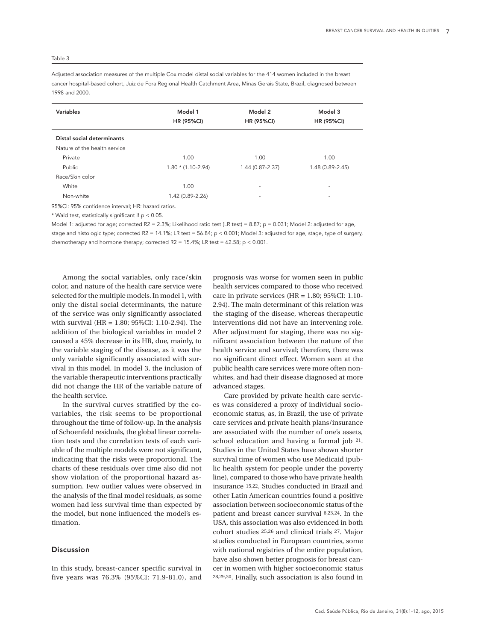#### Table 3

Adjusted association measures of the multiple Cox model distal social variables for the 414 women included in the breast cancer hospital-based cohort, Juiz de Fora Regional Health Catchment Area, Minas Gerais State, Brazil, diagnosed between 1998 and 2000.

| Variables                    | Model 1<br><b>HR (95%CI)</b> | Model 2<br><b>HR (95%CI)</b> | Model 3<br><b>HR (95%CI)</b> |
|------------------------------|------------------------------|------------------------------|------------------------------|
| Distal social determinants   |                              |                              |                              |
| Nature of the health service |                              |                              |                              |
| Private                      | 1.00                         | 1.00                         | 1.00                         |
| Public                       | $1.80 * (1.10 - 2.94)$       | 1.44 (0.87-2.37)             | 1.48 (0.89-2.45)             |
| Race/Skin color              |                              |                              |                              |
| White                        | 1.00                         | ۰                            | ۰                            |
| Non-white                    | 1.42 (0.89-2.26)             | ۰                            | ۰                            |
|                              |                              |                              |                              |

95%CI: 95% confidence interval; HR: hazard ratios.

\* Wald test, statistically significant if  $p < 0.05$ .

Model 1: adjusted for age; corrected R2 = 2.3%; Likelihood ratio test (LR test) = 8.87; p = 0.031; Model 2: adjusted for age, stage and histologic type; corrected R2 = 14.1%; LR test = 56.84;  $p < 0.001$ ; Model 3: adjusted for age, stage, type of surgery, chemotherapy and hormone therapy; corrected R2 = 15.4%; LR test = 62.58; p < 0.001.

Among the social variables, only race/skin color, and nature of the health care service were selected for the multiple models. In model 1, with only the distal social determinants, the nature of the service was only significantly associated with survival (HR = 1.80; 95%CI: 1.10-2.94). The addition of the biological variables in model 2 caused a 45% decrease in its HR, due, mainly, to the variable staging of the disease, as it was the only variable significantly associated with survival in this model. In model 3, the inclusion of the variable therapeutic interventions practically did not change the HR of the variable nature of the health service.

In the survival curves stratified by the covariables, the risk seems to be proportional throughout the time of follow-up. In the analysis of Schoenfeld residuals, the global linear correlation tests and the correlation tests of each variable of the multiple models were not significant, indicating that the risks were proportional. The charts of these residuals over time also did not show violation of the proportional hazard assumption. Few outlier values were observed in the analysis of the final model residuals, as some women had less survival time than expected by the model, but none influenced the model's estimation.

## Discussion

In this study, breast-cancer specific survival in five years was 76.3% (95%CI: 71.9-81.0), and prognosis was worse for women seen in public health services compared to those who received care in private services  $(HR = 1.80; 95\% CI: 1.10-$ 2.94). The main determinant of this relation was the staging of the disease, whereas therapeutic interventions did not have an intervening role. After adjustment for staging, there was no significant association between the nature of the health service and survival; therefore, there was no significant direct effect. Women seen at the public health care services were more often nonwhites, and had their disease diagnosed at more advanced stages.

Care provided by private health care services was considered a proxy of individual socioeconomic status, as, in Brazil, the use of private care services and private health plans/insurance are associated with the number of one's assets, school education and having a formal job 21. Studies in the United States have shown shorter survival time of women who use Medicaid (public health system for people under the poverty line), compared to those who have private health insurance 15,22. Studies conducted in Brazil and other Latin American countries found a positive association between socioeconomic status of the patient and breast cancer survival 6,23,24. In the USA, this association was also evidenced in both cohort studies 25,26 and clinical trials 27. Major studies conducted in European countries, some with national registries of the entire population, have also shown better prognosis for breast cancer in women with higher socioeconomic status 28,29,30. Finally, such association is also found in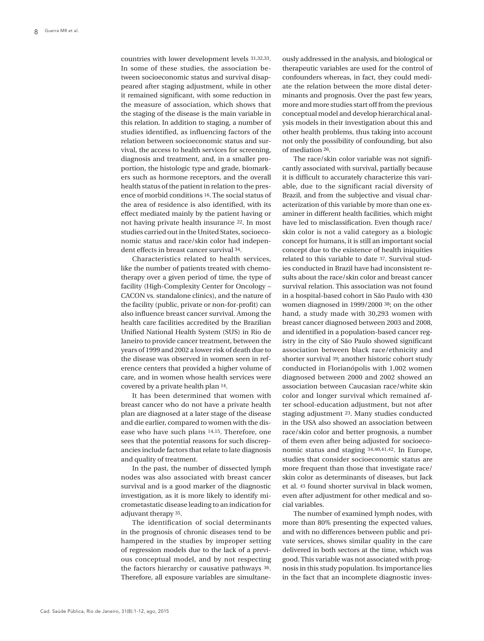countries with lower development levels 31,32,33. In some of these studies, the association between socioeconomic status and survival disappeared after staging adjustment, while in other it remained significant, with some reduction in the measure of association, which shows that the staging of the disease is the main variable in this relation. In addition to staging, a number of studies identified, as influencing factors of the relation between socioeconomic status and survival, the access to health services for screening, diagnosis and treatment, and, in a smaller proportion, the histologic type and grade, biomarkers such as hormone receptors, and the overall health status of the patient in relation to the presence of morbid conditions 16. The social status of the area of residence is also identified, with its effect mediated mainly by the patient having or not having private health insurance 22. In most studies carried out in the United States, socioeconomic status and race/skin color had independent effects in breast cancer survival 34.

Characteristics related to health services, like the number of patients treated with chemotherapy over a given period of time, the type of facility (High-Complexity Center for Oncology – CACON vs. standalone clinics), and the nature of the facility (public, private or non-for-profit) can also influence breast cancer survival. Among the health care facilities accredited by the Brazilian Unified National Health System (SUS) in Rio de Janeiro to provide cancer treatment, between the years of 1999 and 2002 a lower risk of death due to the disease was observed in women seen in reference centers that provided a higher volume of care, and in women whose health services were covered by a private health plan 14.

It has been determined that women with breast cancer who do not have a private health plan are diagnosed at a later stage of the disease and die earlier, compared to women with the disease who have such plans 14,15. Therefore, one sees that the potential reasons for such discrepancies include factors that relate to late diagnosis and quality of treatment.

In the past, the number of dissected lymph nodes was also associated with breast cancer survival and is a good marker of the diagnostic investigation, as it is more likely to identify micrometastatic disease leading to an indication for adjuvant therapy 35.

The identification of social determinants in the prognosis of chronic diseases tend to be hampered in the studies by improper setting of regression models due to the lack of a previous conceptual model, and by not respecting the factors hierarchy or causative pathways 36. Therefore, all exposure variables are simultaneously addressed in the analysis, and biological or therapeutic variables are used for the control of confounders whereas, in fact, they could mediate the relation between the more distal determinants and prognosis. Over the past few years, more and more studies start off from the previous conceptual model and develop hierarchical analysis models in their investigation about this and other health problems, thus taking into account not only the possibility of confounding, but also of mediation 26.

The race/skin color variable was not significantly associated with survival, partially because it is difficult to accurately characterize this variable, due to the significant racial diversity of Brazil, and from the subjective and visual characterization of this variable by more than one examiner in different health facilities, which might have led to misclassification. Even though race/ skin color is not a valid category as a biologic concept for humans, it is still an important social concept due to the existence of health iniquities related to this variable to date 37. Survival studies conducted in Brazil have had inconsistent results about the race/skin color and breast cancer survival relation. This association was not found in a hospital-based cohort in São Paulo with 430 women diagnosed in 1999/2000 38; on the other hand, a study made with 30,293 women with breast cancer diagnosed between 2003 and 2008, and identified in a population-based cancer registry in the city of São Paulo showed significant association between black race/ethnicity and shorter survival 39; another historic cohort study conducted in Florianópolis with 1,002 women diagnosed between 2000 and 2002 showed an association between Caucasian race/white skin color and longer survival which remained after school-education adjustment, but not after staging adjustment 23. Many studies conducted in the USA also showed an association between race/skin color and better prognosis, a number of them even after being adjusted for socioeconomic status and staging 34,40,41,42. In Europe, studies that consider socioeconomic status are more frequent than those that investigate race/ skin color as determinants of diseases, but Jack et al. 43 found shorter survival in black women, even after adjustment for other medical and social variables.

The number of examined lymph nodes, with more than 80% presenting the expected values, and with no differences between public and private services, shows similar quality in the care delivered in both sectors at the time, which was good. This variable was not associated with prognosis in this study population. Its importance lies in the fact that an incomplete diagnostic inves-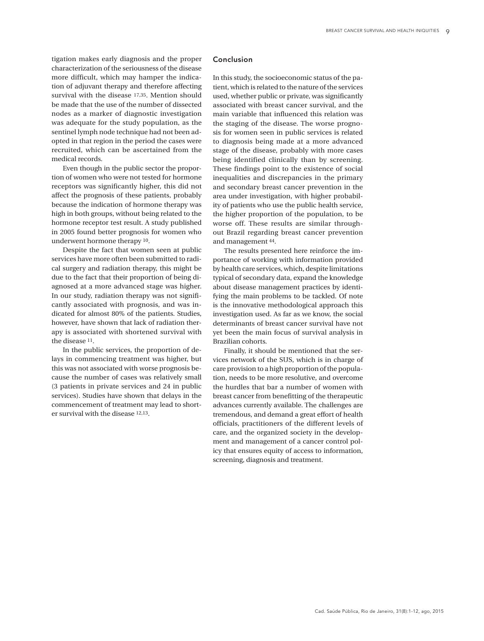tigation makes early diagnosis and the proper characterization of the seriousness of the disease more difficult, which may hamper the indication of adjuvant therapy and therefore affecting survival with the disease 17,35. Mention should be made that the use of the number of dissected nodes as a marker of diagnostic investigation was adequate for the study population, as the sentinel lymph node technique had not been adopted in that region in the period the cases were recruited, which can be ascertained from the medical records.

Even though in the public sector the proportion of women who were not tested for hormone receptors was significantly higher, this did not affect the prognosis of these patients, probably because the indication of hormone therapy was high in both groups, without being related to the hormone receptor test result. A study published in 2005 found better prognosis for women who underwent hormone therapy 10.

Despite the fact that women seen at public services have more often been submitted to radical surgery and radiation therapy, this might be due to the fact that their proportion of being diagnosed at a more advanced stage was higher. In our study, radiation therapy was not significantly associated with prognosis, and was indicated for almost 80% of the patients. Studies, however, have shown that lack of radiation therapy is associated with shortened survival with the disease 11.

In the public services, the proportion of delays in commencing treatment was higher, but this was not associated with worse prognosis because the number of cases was relatively small (3 patients in private services and 24 in public services). Studies have shown that delays in the commencement of treatment may lead to shorter survival with the disease 12,13.

#### Conclusion

In this study, the socioeconomic status of the patient, which is related to the nature of the services used, whether public or private, was significantly associated with breast cancer survival, and the main variable that influenced this relation was the staging of the disease. The worse prognosis for women seen in public services is related to diagnosis being made at a more advanced stage of the disease, probably with more cases being identified clinically than by screening. These findings point to the existence of social inequalities and discrepancies in the primary and secondary breast cancer prevention in the area under investigation, with higher probability of patients who use the public health service, the higher proportion of the population, to be worse off. These results are similar throughout Brazil regarding breast cancer prevention and management 44.

The results presented here reinforce the importance of working with information provided by health care services, which, despite limitations typical of secondary data, expand the knowledge about disease management practices by identifying the main problems to be tackled. Of note is the innovative methodological approach this investigation used. As far as we know, the social determinants of breast cancer survival have not yet been the main focus of survival analysis in Brazilian cohorts.

Finally, it should be mentioned that the services network of the SUS, which is in charge of care provision to a high proportion of the population, needs to be more resolutive, and overcome the hurdles that bar a number of women with breast cancer from benefitting of the therapeutic advances currently available. The challenges are tremendous, and demand a great effort of health officials, practitioners of the different levels of care, and the organized society in the development and management of a cancer control policy that ensures equity of access to information, screening, diagnosis and treatment.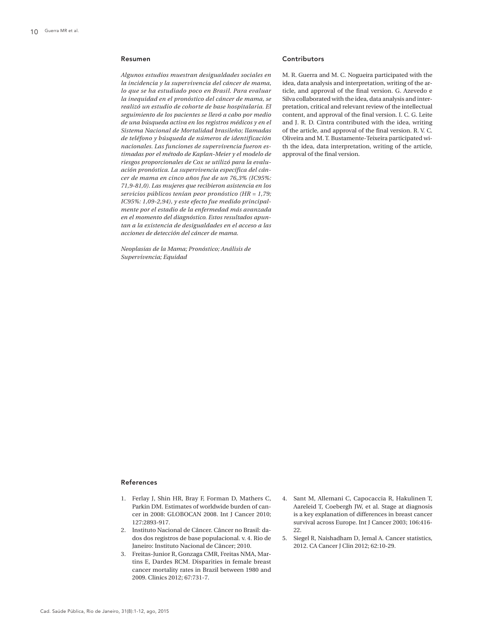#### Resumen

*Algunos estudios muestran desigualdades sociales en la incidencia y la supervivencia del cáncer de mama, lo que se ha estudiado poco en Brasil. Para evaluar la inequidad en el pronóstico del cáncer de mama, se realizó un estudio de cohorte de base hospitalaria. El seguimiento de los pacientes se llevó a cabo por medio de una búsqueda activa en los registros médicos y en el Sistema Nacional de Mortalidad brasileño; llamadas de teléfono y búsqueda de números de identificación nacionales. Las funciones de supervivencia fueron estimadas por el método de Kaplan-Meier y el modelo de riesgos proporcionales de Cox se utilizó para la evaluación pronóstica. La supervivencia específica del cáncer de mama en cinco años fue de un 76,3% (IC95%: 71,9-81,0). Las mujeres que recibieron asistencia en los servicios públicos tenían peor pronóstico (HR = 1,79; IC95%: 1,09-2,94), y este efecto fue medido principalmente por el estadio de la enfermedad más avanzada en el momento del diagnóstico. Estos resultados apuntan a la existencia de desigualdades en el acceso a las acciones de detección del cáncer de mama.*

*Neoplasias de la Mama; Pronóstico; Análisis de Supervivencia; Equidad*

## Contributors

M. R. Guerra and M. C. Nogueira participated with the idea, data analysis and interpretation, writing of the article, and approval of the final version. G. Azevedo e Silva collaborated with the idea, data analysis and interpretation, critical and relevant review of the intellectual content, and approval of the final version. I. C. G. Leite and J. R. D. Cintra contributed with the idea, writing of the article, and approval of the final version. R. V. C. Oliveira and M. T. Bustamente-Teixeira participated with the idea, data interpretation, writing of the article, approval of the final version.

#### References

- 1. Ferlay J, Shin HR, Bray F, Forman D, Mathers C, Parkin DM. Estimates of worldwide burden of cancer in 2008: GLOBOCAN 2008. Int J Cancer 2010; 127:2893-917.
- 2. Instituto Nacional de Câncer. Câncer no Brasil: dados dos registros de base populacional. v. 4. Rio de Janeiro: Instituto Nacional de Câncer; 2010.
- 3. Freitas-Junior R, Gonzaga CMR, Freitas NMA, Martins E, Dardes RCM. Disparities in female breast cancer mortality rates in Brazil between 1980 and 2009. Clinics 2012; 67:731-7.
- 4. Sant M, Allemani C, Capocaccia R, Hakulinen T, Aareleid T, Coebergh JW, et al. Stage at diagnosis is a key explanation of differences in breast cancer survival across Europe. Int J Cancer 2003; 106:416- 22.
- 5. Siegel R, Naishadham D, Jemal A. Cancer statistics, 2012. CA Cancer J Clin 2012; 62:10-29.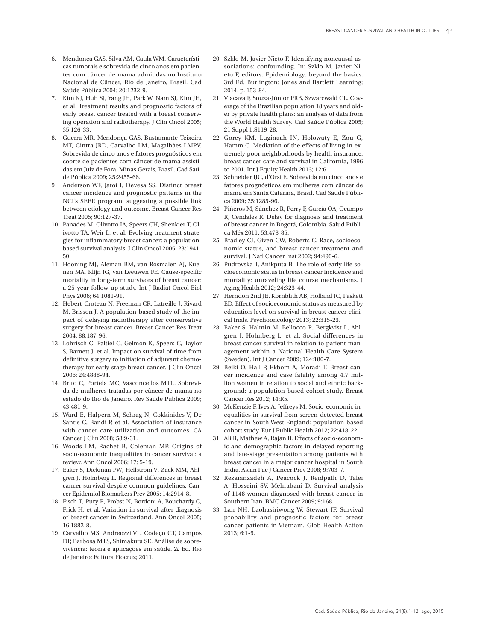- 6. Mendonça GAS, Silva AM, Caula WM. Característi cas tumorais e sobrevida de cinco anos em pacien tes com câncer de mama admitidas no Instituto Nacional de Câncer, Rio de Janeiro, Brasil. Cad Saúde Pública 2004; 20:1232-9.
- 7. Kim KJ, Huh SJ, Yang JH, Park W, Nam SJ, Kim JH, et al. Treatment results and prognostic factors of early breast cancer treated with a breast conserv ing operation and radiotherapy. J Clin Oncol 2005; 35:126-33.
- 8. Guerra MR, Mendonça GAS, Bustamante-Teixeira MT, Cintra JRD, Carvalho LM, Magalhães LMPV. Sobrevida de cinco anos e fatores prognósticos em coorte de pacientes com câncer de mama assisti das em Juiz de Fora, Minas Gerais, Brasil. Cad Saú de Pública 2009; 25:2455-66.
- 9 Anderson WF, Jatoi I, Devesa SS. Distinct breast cancer incidence and prognostic patterns in the NCI's SEER program: suggesting a possible link between etiology and outcome. Breast Cancer Res Treat 2005; 90:127-37.
- 10. Panades M, Olivotto IA, Speers CH, Shenkier T, Ol ivotto TA, Weir L, et al. Evolving treatment strate gies for inflammatory breast cancer: a populationbased survival analysis. J Clin Oncol 2005; 23:1941- 50.
- 11. Hooning MJ, Aleman BM, van Rosmalen AJ, Kue nen MA, Klijn JG, van Leeuwen FE. Cause-specific mortality in long-term survivors of breast cancer: a 25-year follow-up study. Int J Radiat Oncol Biol Phys 2006; 64:1081-91.
- 12. Hebert-Croteau N, Freeman CR, Latreille J, Rivard M, Brisson J. A population-based study of the im pact of delaying radiotherapy after conservative surgery for breast cancer. Breast Cancer Res Treat 2004; 88:187-96.
- 13. Lohrisch C, Paltiel C, Gelmon K, Speers C, Taylor S, Barnett J, et al. Impact on survival of time from definitive surgery to initiation of adjuvant chemo therapy for early-stage breast cancer. J Clin Oncol 2006; 24:4888-94.
- 14. Brito C, Portela MC, Vasconcellos MTL. Sobrevi da de mulheres tratadas por câncer de mama no estado do Rio de Janeiro. Rev Saúde Pública 2009; 43:481-9.
- 15. Ward E, Halpern M, Schrag N, Cokkinides V, De Santis C, Bandi P, et al. Association of insurance with cancer care utilization and outcomes. CA Cancer J Clin 2008; 58:9-31.
- 16. Woods LM, Rachet B, Coleman MP. Origins of socio-economic inequalities in cancer survival: a review. Ann Oncol 2006; 17: 5-19.
- 17. Eaker S, Dickman PW, Hellstrom V, Zack MM, Ahl gren J, Holmberg L. Regional differences in breast cancer survival despite common guidelines. Can cer Epidemiol Biomarkers Prev 2005; 14:2914-8.
- 18. Fisch T, Pury P, Probst N, Bordoni A, Bouchardy C, Frick H, et al. Variation in survival after diagnosis of breast cancer in Switzerland. Ann Oncol 2005; 16:1882-8.
- 19. Carvalho MS, Andreozzi VL, Codeço CT, Campos DP, Barbosa MTS, Shimakura SE. Análise de sobre vivência: teoria e aplicações em saúde. 2 a Ed. Rio de Janeiro: Editora Fiocruz; 2011.
- 20. Szklo M, Javier Nieto F. Identifying noncausal as sociations: confounding. In: Szklo M, Javier Ni eto F, editors. Epidemiology: beyond the basics. 3rd Ed. Burlington: Jones and Bartlett Learning; 2014. p. 153-84.
- 21. Viacava F, Souza-Júnior PRB, Szwarcwald CL. Cov erage of the Brazilian population 18 years and old er by private health plans: an analysis of data from the World Health Survey. Cad Saúde Pública 2005; 21 Suppl 1:S119-28.
- 22. Gorey KM, Luginaah IN, Holowaty E, Zou G, Hamm C. Mediation of the effects of living in ex tremely poor neighborhoods by health insurance: breast cancer care and survival in California, 1996 to 2001. Int J Equity Health 2013; 12:6.
- 23. Schneider IJC, d'Orsi E. Sobrevida em cinco anos e fatores prognósticos em mulheres com câncer de mama em Santa Catarina, Brasil. Cad Saúde Públi ca 2009; 25:1285-96.
- 24. Piñeros M, Sánchez R, Perry F, García OA, Ocampo R, Cendales R. Delay for diagnosis and treatment of breast cancer in Bogotá, Colombia. Salud Públi ca Méx 2011; 53:478-85.
- 25. Bradley CJ, Given CW, Roberts C. Race, socioeco nomic status, and breast cancer treatment and survival. J Natl Cancer Inst 2002; 94:490-6.
- 26. Pudrovska T, Anikputa B. The role of early-life so cioeconomic status in breast cancer incidence and mortality: unraveling life course mechanisms. J Aging Health 2012; 24:323-44.
- 27. Herndon 2nd JE, Kornblith AB, Holland JC, Paskett ED. Effect of socioeconomic status as measured by education level on survival in breast cancer clini cal trials. Psychooncology 2013; 22:315-23.
- 28. Eaker S, Halmin M, Bellocco R, Bergkvist L, Ahl gren J, Holmberg L, et al. Social differences in breast cancer survival in relation to patient man agement within a National Health Care System (Sweden). Int J Cancer 2009; 124:180-7.
- 29. Beiki O, Hall P, Ekbom A, Moradi T. Breast can cer incidence and case fatality among 4.7 mil lion women in relation to social and ethnic back ground: a population-based cohort study. Breast Cancer Res 2012; 14:R5.
- 30. McKenzie F, Ives A, Jeffreys M. Socio-economic in equalities in survival from screen-detected breast cancer in South West England: population-based cohort study. Eur J Public Health 2012; 22:418-22.
- 31. Ali R, Mathew A, Rajan B. Effects of socio-econom ic and demographic factors in delayed reporting and late-stage presentation among patients with breast cancer in a major cancer hospital in South India. Asian Pac J Cancer Prev 2008; 9:703-7.
- 32. Rezaianzadeh A, Peacock J, Reidpath D, Talei A, Hosseini SV, Mehrabani D. Survival analysis of 1148 women diagnosed with breast cancer in Southern Iran. BMC Cancer 2009; 9:168.
- 33. Lan NH, Laohasiriwong W, Stewart JF. Survival probability and prognostic factors for breast cancer patients in Vietnam. Glob Health Action 2013; 6:1-9.